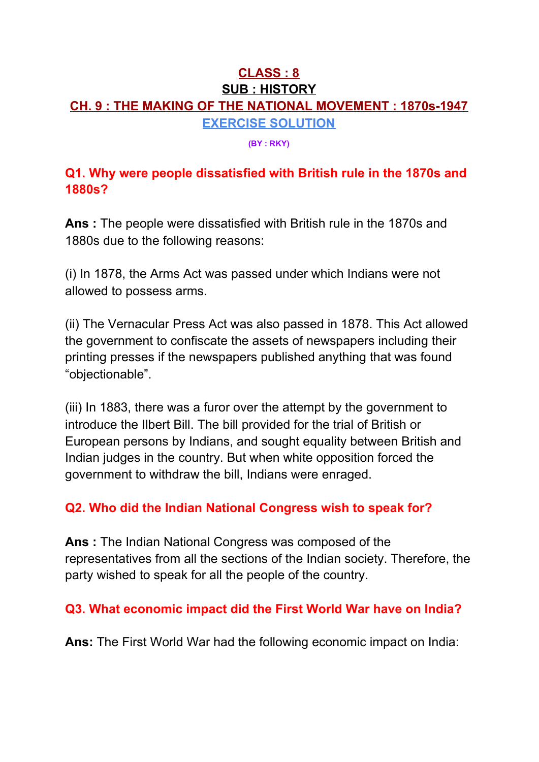## **CLASS : 8 SUB : HISTORY CH. 9 : THE MAKING OF THE NATIONAL MOVEMENT : 1870s-1947 EXERCISE SOLUTION**

**(BY : RKY)**

## **Q1. Why were people dissatisfied with British rule in the 1870s and 1880s?**

**Ans :** The people were dissatisfied with British rule in the 1870s and 1880s due to the following reasons:

(i) In 1878, the Arms Act was passed under which Indians were not allowed to possess arms.

(ii) The Vernacular Press Act was also passed in 1878. This Act allowed the government to confiscate the assets of newspapers including their printing presses if the newspapers published anything that was found "objectionable".

(iii) In 1883, there was a furor over the attempt by the government to introduce the Ilbert Bill. The bill provided for the trial of British or European persons by Indians, and sought equality between British and Indian judges in the country. But when white opposition forced the government to withdraw the bill, Indians were enraged.

## **Q2. Who did the Indian National Congress wish to speak for?**

**Ans :** The Indian National Congress was composed of the representatives from all the sections of the Indian society. Therefore, the party wished to speak for all the people of the country.

## **Q3. What economic impact did the First World War have on India?**

**Ans:** The First World War had the following economic impact on India: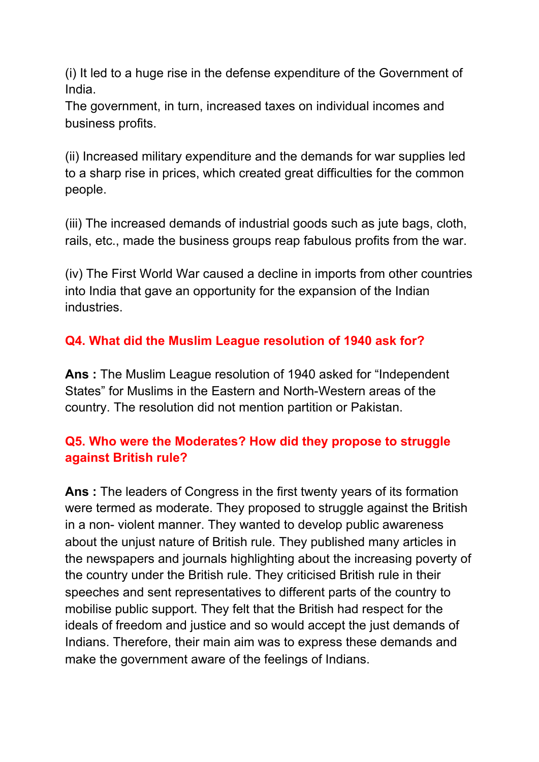(i) It led to a huge rise in the defense expenditure of the Government of India.

The government, in turn, increased taxes on individual incomes and business profits.

(ii) Increased military expenditure and the demands for war supplies led to a sharp rise in prices, which created great difficulties for the common people.

(iii) The increased demands of industrial goods such as jute bags, cloth, rails, etc., made the business groups reap fabulous profits from the war.

(iv) The First World War caused a decline in imports from other countries into India that gave an opportunity for the expansion of the Indian industries.

# **Q4. What did the Muslim League resolution of 1940 ask for?**

**Ans :** The Muslim League resolution of 1940 asked for "Independent States" for Muslims in the Eastern and North-Western areas of the country. The resolution did not mention partition or Pakistan.

## **Q5. Who were the Moderates? How did they propose to struggle against British rule?**

**Ans :** The leaders of Congress in the first twenty years of its formation were termed as moderate. They proposed to struggle against the British in a non- violent manner. They wanted to develop public awareness about the unjust nature of British rule. They published many articles in the newspapers and journals highlighting about the increasing poverty of the country under the British rule. They criticised British rule in their speeches and sent representatives to different parts of the country to mobilise public support. They felt that the British had respect for the ideals of freedom and justice and so would accept the just demands of Indians. Therefore, their main aim was to express these demands and make the government aware of the feelings of Indians.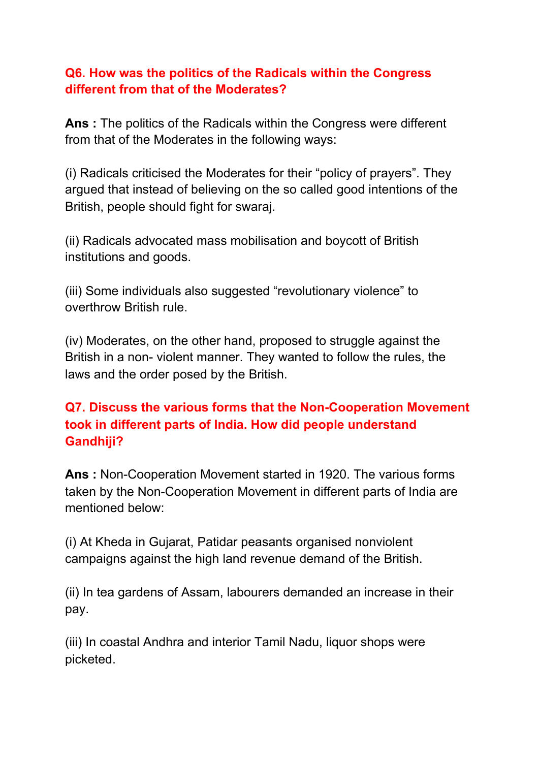## **Q6. How was the politics of the Radicals within the Congress different from that of the Moderates?**

**Ans :** The politics of the Radicals within the Congress were different from that of the Moderates in the following ways:

(i) Radicals criticised the Moderates for their "policy of prayers". They argued that instead of believing on the so called good intentions of the British, people should fight for swaraj.

(ii) Radicals advocated mass mobilisation and boycott of British institutions and goods.

(iii) Some individuals also suggested "revolutionary violence" to overthrow British rule.

(iv) Moderates, on the other hand, proposed to struggle against the British in a non- violent manner. They wanted to follow the rules, the laws and the order posed by the British.

## **Q7. Discuss the various forms that the Non-Cooperation Movement took in different parts of India. How did people understand Gandhiji?**

**Ans :** Non-Cooperation Movement started in 1920. The various forms taken by the Non-Cooperation Movement in different parts of India are mentioned below:

(i) At Kheda in Gujarat, Patidar peasants organised nonviolent campaigns against the high land revenue demand of the British.

(ii) In tea gardens of Assam, labourers demanded an increase in their pay.

(iii) In coastal Andhra and interior Tamil Nadu, liquor shops were picketed.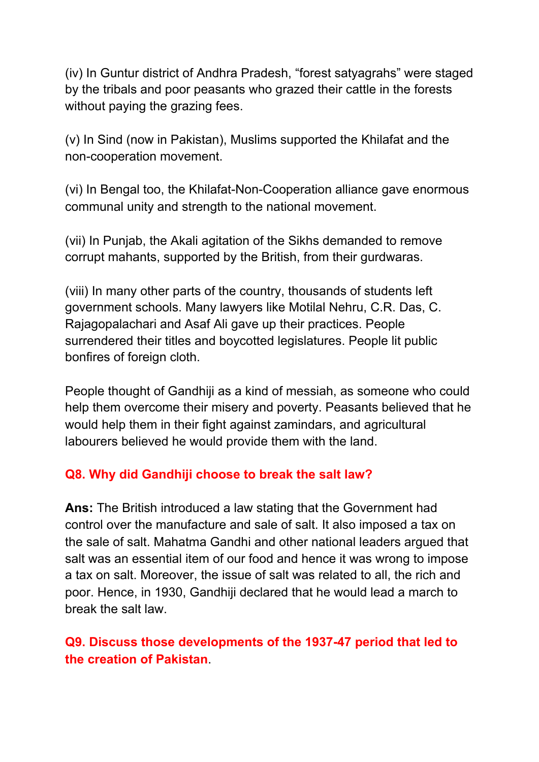(iv) In Guntur district of Andhra Pradesh, "forest satyagrahs" were staged by the tribals and poor peasants who grazed their cattle in the forests without paying the grazing fees.

(v) In Sind (now in Pakistan), Muslims supported the Khilafat and the non-cooperation movement.

(vi) In Bengal too, the Khilafat-Non-Cooperation alliance gave enormous communal unity and strength to the national movement.

(vii) In Punjab, the Akali agitation of the Sikhs demanded to remove corrupt mahants, supported by the British, from their gurdwaras.

(viii) In many other parts of the country, thousands of students left government schools. Many lawyers like Motilal Nehru, C.R. Das, C. Rajagopalachari and Asaf Ali gave up their practices. People surrendered their titles and boycotted legislatures. People lit public bonfires of foreign cloth.

People thought of Gandhiji as a kind of messiah, as someone who could help them overcome their misery and poverty. Peasants believed that he would help them in their fight against zamindars, and agricultural labourers believed he would provide them with the land.

#### **Q8. Why did Gandhiji choose to break the salt law?**

**Ans:** The British introduced a law stating that the Government had control over the manufacture and sale of salt. It also imposed a tax on the sale of salt. Mahatma Gandhi and other national leaders argued that salt was an essential item of our food and hence it was wrong to impose a tax on salt. Moreover, the issue of salt was related to all, the rich and poor. Hence, in 1930, Gandhiji declared that he would lead a march to break the salt law.

# **Q9. Discuss those developments of the 1937-47 period that led to the creation of Pakistan**.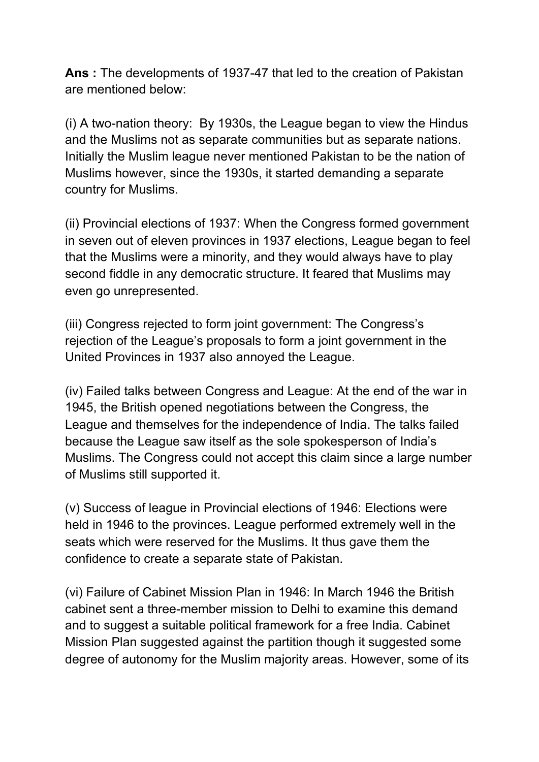**Ans :** The developments of 1937-47 that led to the creation of Pakistan are mentioned below:

(i) A two-nation theory: By 1930s, the League began to view the Hindus and the Muslims not as separate communities but as separate nations. Initially the Muslim league never mentioned Pakistan to be the nation of Muslims however, since the 1930s, it started demanding a separate country for Muslims.

(ii) Provincial elections of 1937: When the Congress formed government in seven out of eleven provinces in 1937 elections, League began to feel that the Muslims were a minority, and they would always have to play second fiddle in any democratic structure. It feared that Muslims may even go unrepresented.

(iii) Congress rejected to form joint government: The Congress's rejection of the League's proposals to form a joint government in the United Provinces in 1937 also annoyed the League.

(iv) Failed talks between Congress and League: At the end of the war in 1945, the British opened negotiations between the Congress, the League and themselves for the independence of India. The talks failed because the League saw itself as the sole spokesperson of India's Muslims. The Congress could not accept this claim since a large number of Muslims still supported it.

(v) Success of league in Provincial elections of 1946: Elections were held in 1946 to the provinces. League performed extremely well in the seats which were reserved for the Muslims. It thus gave them the confidence to create a separate state of Pakistan.

(vi) Failure of Cabinet Mission Plan in 1946: In March 1946 the British cabinet sent a three-member mission to Delhi to examine this demand and to suggest a suitable political framework for a free India. Cabinet Mission Plan suggested against the partition though it suggested some degree of autonomy for the Muslim majority areas. However, some of its